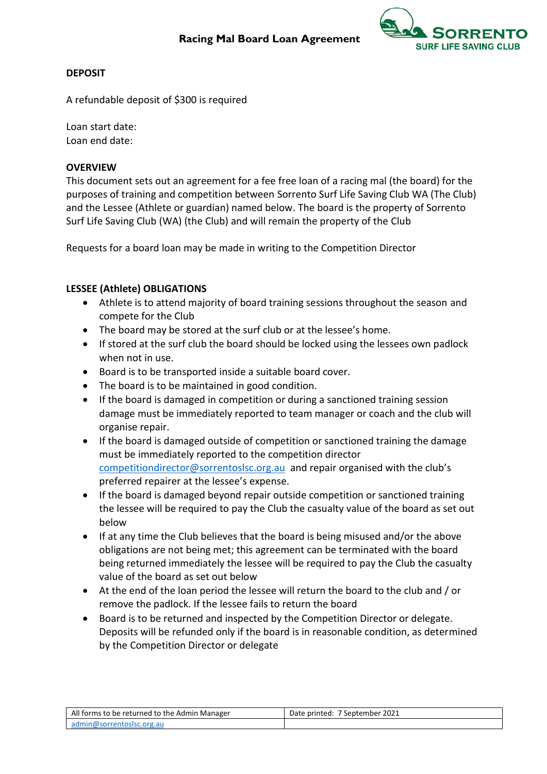

## **DEPOSIT**

A refundable deposit of \$300 is required

Loan start date: Loan end date:

## **OVERVIEW**

This document sets out an agreement for a fee free loan of a racing mal (the board) for the purposes of training and competition between Sorrento Surf Life Saving Club WA (The Club) and the Lessee (Athlete or guardian) named below. The board is the property of Sorrento Surf Life Saving Club (WA) (the Club) and will remain the property of the Club

Requests for a board loan may be made in writing to the Competition Director

## **LESSEE (Athlete) OBLIGATIONS**

- Athlete is to attend majority of board training sessions throughout the season and compete for the Club
- The board may be stored at the surf club or at the lessee's home.
- If stored at the surf club the board should be locked using the lessees own padlock when not in use.
- Board is to be transported inside a suitable board cover.
- The board is to be maintained in good condition.
- If the board is damaged in competition or during a sanctioned training session damage must be immediately reported to team manager or coach and the club will organise repair.
- If the board is damaged outside of competition or sanctioned training the damage must be immediately reported to the competition director [competitiondirector@sorrentoslsc.org.au](mailto:competitiondirector@sorrentoslsc.org.au) and repair organised with the club's preferred repairer at the lessee's expense.
- If the board is damaged beyond repair outside competition or sanctioned training the lessee will be required to pay the Club the casualty value of the board as set out below
- If at any time the Club believes that the board is being misused and/or the above obligations are not being met; this agreement can be terminated with the board being returned immediately the lessee will be required to pay the Club the casualty value of the board as set out below
- At the end of the loan period the lessee will return the board to the club and / or remove the padlock. If the lessee fails to return the board
- Board is to be returned and inspected by the Competition Director or delegate. Deposits will be refunded only if the board is in reasonable condition, as determined by the Competition Director or delegate